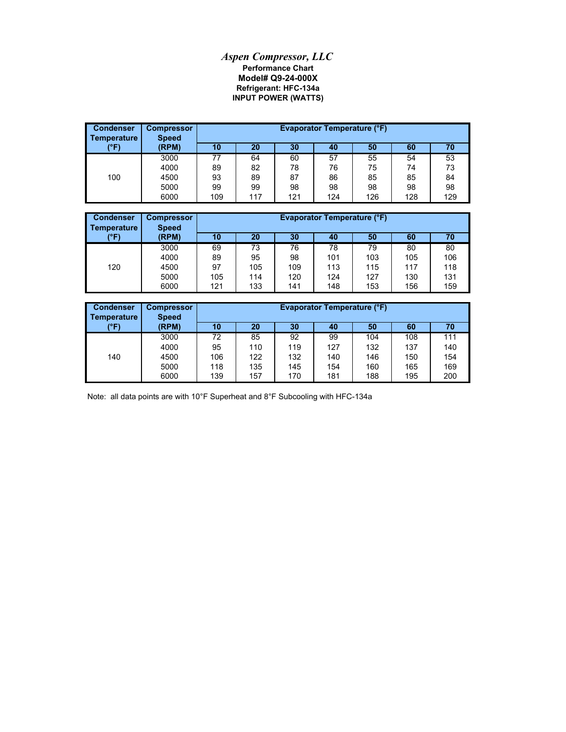## *Aspen Compressor, LLC* **Refrigerant: HFC-134a Model# Q9-24-000X Performance Chart INPUT POWER (WATTS)**

| <b>Condenser</b><br><b>Temperature</b> | <b>Compressor</b><br><b>Speed</b> |     | Evaporator Temperature (°F) |     |     |     |     |     |  |  |
|----------------------------------------|-----------------------------------|-----|-----------------------------|-----|-----|-----|-----|-----|--|--|
| (°F)                                   | (RPM)                             | 10  | 20                          | 30  | 40  | 50  | 60  | 70  |  |  |
|                                        | 3000                              | 77  | 64                          | 60  | 57  | 55  | 54  | 53  |  |  |
|                                        | 4000                              | 89  | 82                          | 78  | 76  | 75  | 74  | 73  |  |  |
| 100                                    | 4500                              | 93  | 89                          | 87  | 86  | 85  | 85  | 84  |  |  |
|                                        | 5000                              | 99  | 99                          | 98  | 98  | 98  | 98  | 98  |  |  |
|                                        | 6000                              | 109 | 117                         | 121 | 124 | 126 | 128 | 129 |  |  |

| <b>Condenser</b><br><b>Temperature</b> | <b>Compressor</b><br><b>Speed</b> | <b>Evaporator Temperature (°F)</b> |     |     |     |     |     |     |  |
|----------------------------------------|-----------------------------------|------------------------------------|-----|-----|-----|-----|-----|-----|--|
| (°F)                                   | (RPM)                             | 10                                 | 20  | 30  | 40  | 50  | 60  | 70  |  |
|                                        | 3000                              | 69                                 | 73  | 76  | 78  | 79  | 80  | 80  |  |
|                                        | 4000                              | 89                                 | 95  | 98  | 101 | 103 | 105 | 106 |  |
| 120                                    | 4500                              | 97                                 | 105 | 109 | 113 | 115 | 117 | 118 |  |
|                                        | 5000                              | 105                                | 114 | 120 | 124 | 127 | 130 | 131 |  |
|                                        | 6000                              | 121                                | 133 | 141 | 148 | 153 | 156 | 159 |  |

| <b>Condenser</b><br><b>Temperature</b> | <b>Compressor</b><br><b>Speed</b> | <b>Evaporator Temperature (°F)</b> |     |     |     |     |     |     |
|----------------------------------------|-----------------------------------|------------------------------------|-----|-----|-----|-----|-----|-----|
| (°F)                                   | (RPM)                             | 10                                 | 20  | 30  | 40  | 50  | 60  | 70  |
|                                        | 3000                              | 72                                 | 85  | 92  | 99  | 104 | 108 | 111 |
|                                        | 4000                              | 95                                 | 110 | 119 | 127 | 132 | 137 | 140 |
| 140                                    | 4500                              | 106                                | 122 | 132 | 140 | 146 | 150 | 154 |
|                                        | 5000                              | 118                                | 135 | 145 | 154 | 160 | 165 | 169 |
|                                        | 6000                              | 139                                | 157 | 170 | 181 | 188 | 195 | 200 |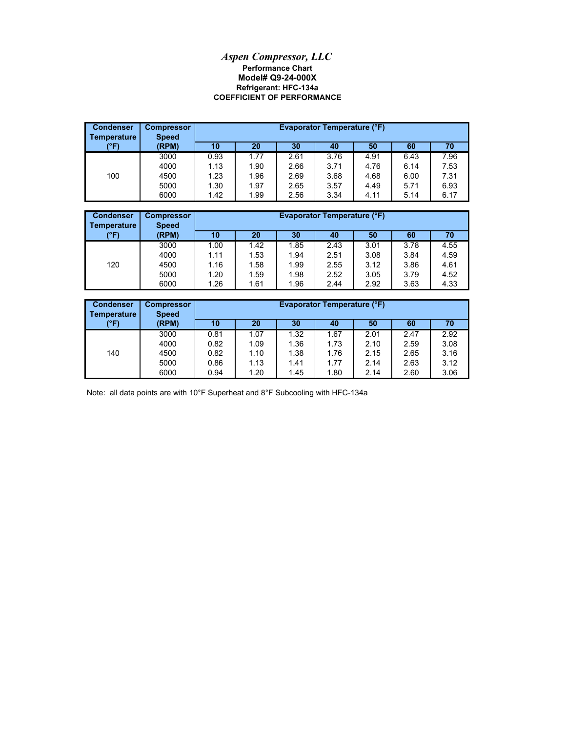## **Model# Q9-24-000X** *Aspen Compressor, LLC* **Performance Chart COEFFICIENT OF PERFORMANCE Refrigerant: HFC-134a**

| <b>Condenser</b><br><b>Temperature</b> | <b>Compressor</b><br><b>Speed</b> | <b>Evaporator Temperature (°F)</b> |      |      |      |      |      |      |  |
|----------------------------------------|-----------------------------------|------------------------------------|------|------|------|------|------|------|--|
| (°F)                                   | (RPM)                             | 10                                 | 20   | 30   | 40   | 50   | 60   | 70   |  |
|                                        | 3000                              | 0.93                               | 1.77 | 2.61 | 3.76 | 4.91 | 6.43 | 7.96 |  |
|                                        | 4000                              | 1.13                               | 1.90 | 2.66 | 3.71 | 4.76 | 6.14 | 7.53 |  |
| 100                                    | 4500                              | 1.23                               | 1.96 | 2.69 | 3.68 | 4.68 | 6.00 | 7.31 |  |
|                                        | 5000                              | 1.30                               | 1.97 | 2.65 | 3.57 | 4.49 | 5.71 | 6.93 |  |
|                                        | 6000                              | 1.42                               | 1.99 | 2.56 | 3.34 | 4.11 | 5.14 | 6.17 |  |

| <b>Condenser</b><br>Temperature | <b>Compressor</b><br><b>Speed</b> |      | <b>Evaporator Temperature (°F)</b> |      |      |      |      |      |  |
|---------------------------------|-----------------------------------|------|------------------------------------|------|------|------|------|------|--|
| (°F)                            | (RPM)                             | 10   | 20                                 | 30   | 40   | 50   | 60   | 70   |  |
|                                 | 3000                              | 1.00 | 1.42                               | 1.85 | 2.43 | 3.01 | 3.78 | 4.55 |  |
|                                 | 4000                              | 1.11 | 1.53                               | 1.94 | 2.51 | 3.08 | 3.84 | 4.59 |  |
| 120                             | 4500                              | 1.16 | 1.58                               | 1.99 | 2.55 | 3.12 | 3.86 | 4.61 |  |
|                                 | 5000                              | 1.20 | 1.59                               | 1.98 | 2.52 | 3.05 | 3.79 | 4.52 |  |
|                                 | 6000                              | 1.26 | 1.61                               | 1.96 | 2.44 | 2.92 | 3.63 | 4.33 |  |

| <b>Condenser</b><br>Temperature | <b>Compressor</b><br><b>Speed</b> | <b>Evaporator Temperature (°F)</b> |      |      |      |      |      |      |
|---------------------------------|-----------------------------------|------------------------------------|------|------|------|------|------|------|
| (°F)                            | (RPM)                             | 10                                 | 20   | 30   | 40   | 50   | 60   | 70   |
|                                 | 3000                              | 0.81                               | 1.07 | 1.32 | 1.67 | 2.01 | 2.47 | 2.92 |
|                                 | 4000                              | 0.82                               | 1.09 | 1.36 | 1.73 | 2.10 | 2.59 | 3.08 |
| 140                             | 4500                              | 0.82                               | 1.10 | 1.38 | 1.76 | 2.15 | 2.65 | 3.16 |
|                                 | 5000                              | 0.86                               | 1.13 | 1.41 | 1.77 | 2.14 | 2.63 | 3.12 |
|                                 | 6000                              | 0.94                               | 1.20 | 1.45 | 1.80 | 2.14 | 2.60 | 3.06 |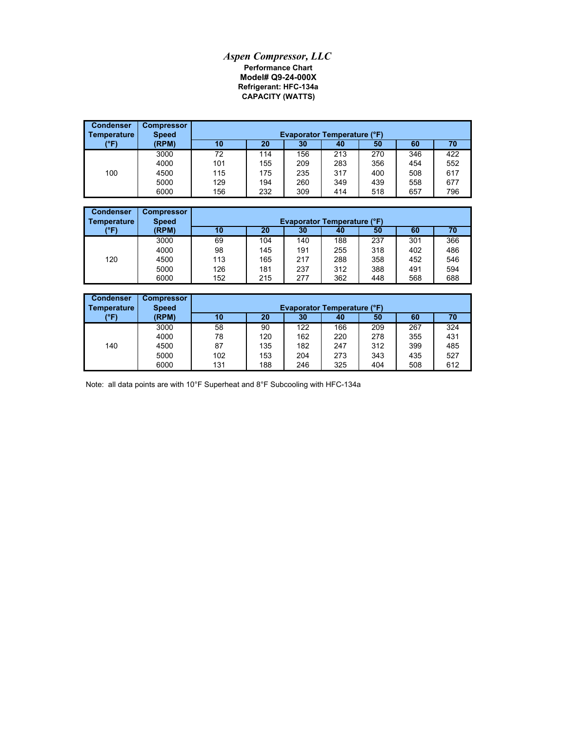## *Aspen Compressor, LLC* **Performance Chart Model# Q9-24-000X CAPACITY (WATTS) Refrigerant: HFC-134a**

| <b>Condenser</b><br>  Temperature | <b>Compressor</b><br><b>Speed</b> |     | <b>Evaporator Temperature (°F)</b> |     |     |     |     |     |  |
|-----------------------------------|-----------------------------------|-----|------------------------------------|-----|-----|-----|-----|-----|--|
| (°F)                              | (RPM)                             | 10  | 20                                 | 30  | 40  | 50  | 60  | 70  |  |
|                                   | 3000                              | 72  | 114                                | 156 | 213 | 270 | 346 | 422 |  |
|                                   | 4000                              | 101 | 155                                | 209 | 283 | 356 | 454 | 552 |  |
| 100                               | 4500                              | 115 | 175                                | 235 | 317 | 400 | 508 | 617 |  |
|                                   | 5000                              | 129 | 194                                | 260 | 349 | 439 | 558 | 677 |  |
|                                   | 6000                              | 156 | 232                                | 309 | 414 | 518 | 657 | 796 |  |

| <b>Condenser</b><br>Temperature | <b>Compressor</b><br><b>Speed</b> | <b>Evaporator Temperature (°F)</b> |     |     |     |     |     |     |  |
|---------------------------------|-----------------------------------|------------------------------------|-----|-----|-----|-----|-----|-----|--|
| (°F)                            | (RPM)                             | 10                                 | 20  | 30  | 40  | 50  | 60  | 70  |  |
|                                 | 3000                              | 69                                 | 104 | 140 | 188 | 237 | 301 | 366 |  |
|                                 | 4000                              | 98                                 | 145 | 191 | 255 | 318 | 402 | 486 |  |
| 120                             | 4500                              | 113                                | 165 | 217 | 288 | 358 | 452 | 546 |  |
|                                 | 5000                              | 126                                | 181 | 237 | 312 | 388 | 491 | 594 |  |
|                                 | 6000                              | 152                                | 215 | 277 | 362 | 448 | 568 | 688 |  |

| <b>Condenser</b><br>Temperature | <b>Compressor</b><br><b>Speed</b> | <b>Evaporator Temperature (°F)</b> |     |     |     |     |     |     |  |
|---------------------------------|-----------------------------------|------------------------------------|-----|-----|-----|-----|-----|-----|--|
| (°F)                            | (RPM)                             | 10                                 | 20  | 30  | 40  | 50  | 60  | 70  |  |
|                                 | 3000                              | 58                                 | 90  | 122 | 166 | 209 | 267 | 324 |  |
|                                 | 4000                              | 78                                 | 120 | 162 | 220 | 278 | 355 | 431 |  |
| 140                             | 4500                              | 87                                 | 135 | 182 | 247 | 312 | 399 | 485 |  |
|                                 | 5000                              | 102                                | 153 | 204 | 273 | 343 | 435 | 527 |  |
|                                 | 6000                              | 131                                | 188 | 246 | 325 | 404 | 508 | 612 |  |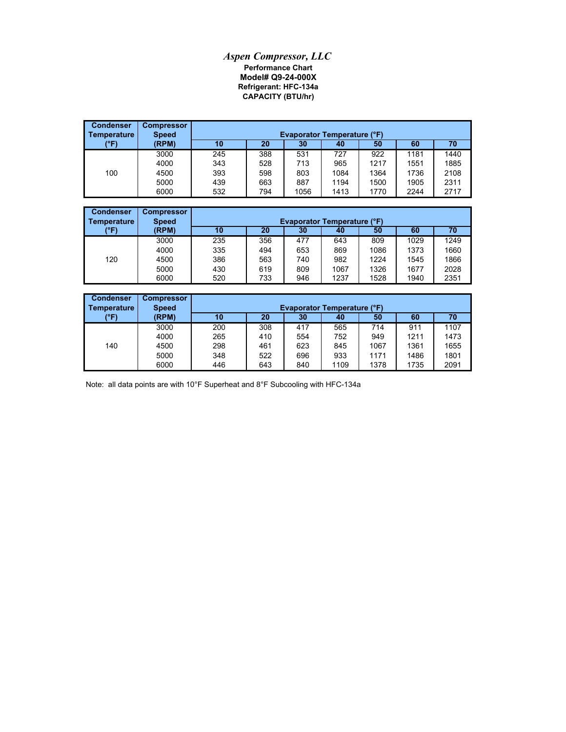## *Aspen Compressor, LLC* **Performance Chart Model# Q9-24-000X Refrigerant: HFC-134a CAPACITY (BTU/hr)**

| <b>Condenser</b><br>  Temperature | <b>Compressor</b><br><b>Speed</b> | <b>Evaporator Temperature (°F)</b> |     |      |      |      |      |      |
|-----------------------------------|-----------------------------------|------------------------------------|-----|------|------|------|------|------|
| (°F)                              | (RPM)                             | 10                                 | 20  | 30   | 40   | 50   | 60   | 70   |
|                                   | 3000                              | 245                                | 388 | 531  | 727  | 922  | 1181 | 1440 |
|                                   | 4000                              | 343                                | 528 | 713  | 965  | 1217 | 1551 | 1885 |
| 100                               | 4500                              | 393                                | 598 | 803  | 1084 | 1364 | 1736 | 2108 |
|                                   | 5000                              | 439                                | 663 | 887  | 1194 | 1500 | 1905 | 2311 |
|                                   | 6000                              | 532                                | 794 | 1056 | 1413 | 1770 | 2244 | 2717 |

| <b>Condenser</b><br><b>Temperature</b> | <b>Compressor</b><br><b>Speed</b> | <b>Evaporator Temperature (°F)</b> |     |     |      |      |      |      |  |
|----------------------------------------|-----------------------------------|------------------------------------|-----|-----|------|------|------|------|--|
| (°F)                                   | (RPM)                             | 10                                 | 20  | 30  | 40   | 50   | 60   | 70   |  |
|                                        | 3000                              | 235                                | 356 | 477 | 643  | 809  | 1029 | 1249 |  |
|                                        | 4000                              | 335                                | 494 | 653 | 869  | 1086 | 1373 | 1660 |  |
| 120                                    | 4500                              | 386                                | 563 | 740 | 982  | 1224 | 1545 | 1866 |  |
|                                        | 5000                              | 430                                | 619 | 809 | 1067 | 1326 | 1677 | 2028 |  |
|                                        | 6000                              | 520                                | 733 | 946 | 1237 | 1528 | 1940 | 2351 |  |

| <b>Condenser</b><br>Temperature | <b>Compressor</b><br><b>Speed</b> | <b>Evaporator Temperature (°F)</b> |     |     |      |      |      |      |  |
|---------------------------------|-----------------------------------|------------------------------------|-----|-----|------|------|------|------|--|
| (°F)                            | (RPM)                             | 10                                 | 20  | 30  | 40   | 50   | 60   | 70   |  |
|                                 | 3000                              | 200                                | 308 | 417 | 565  | 714  | 911  | 1107 |  |
|                                 | 4000                              | 265                                | 410 | 554 | 752  | 949  | 1211 | 1473 |  |
| 140                             | 4500                              | 298                                | 461 | 623 | 845  | 1067 | 1361 | 1655 |  |
|                                 | 5000                              | 348                                | 522 | 696 | 933  | 1171 | 1486 | 1801 |  |
|                                 | 6000                              | 446                                | 643 | 840 | 1109 | 1378 | 1735 | 2091 |  |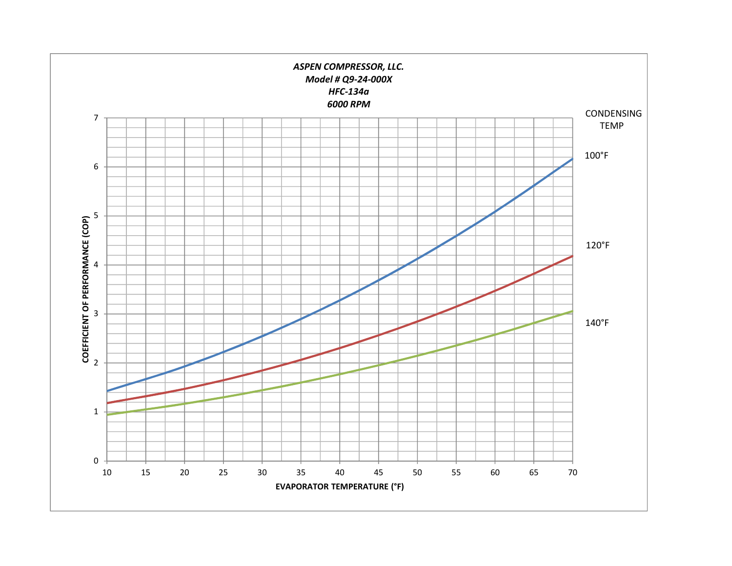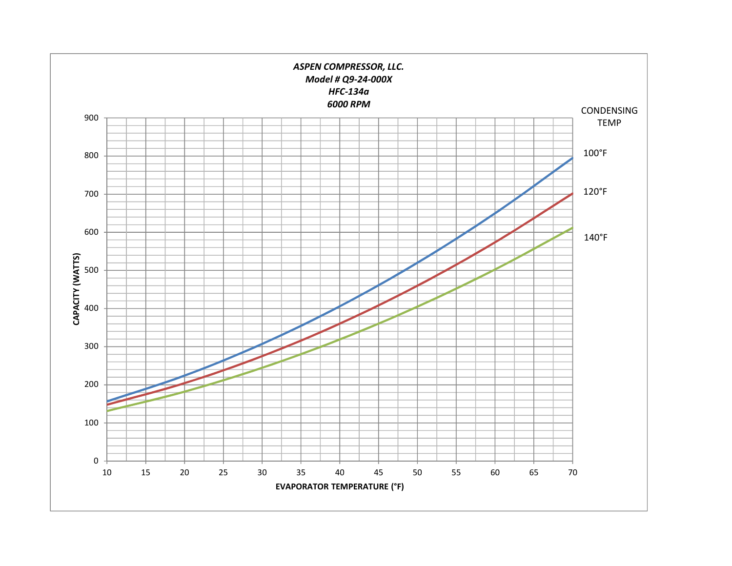